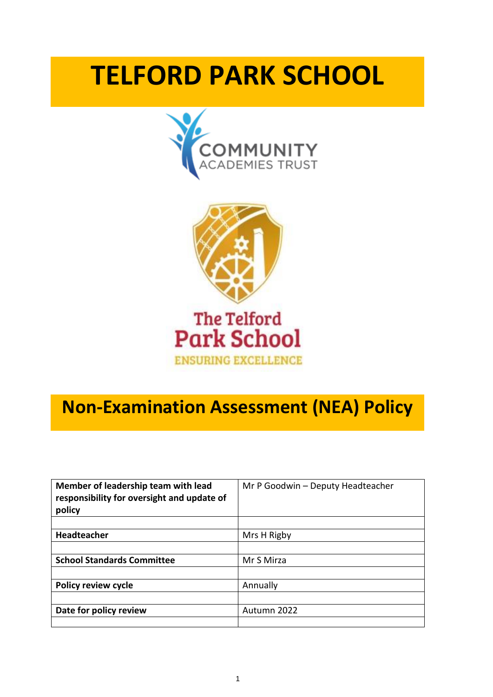# **TELFORD PARK SCHOOL**





# **Non-Examination Assessment (NEA) Policy**

| Member of leadership team with lead<br>responsibility for oversight and update of<br>policy | Mr P Goodwin - Deputy Headteacher |  |
|---------------------------------------------------------------------------------------------|-----------------------------------|--|
|                                                                                             |                                   |  |
| Headteacher                                                                                 | Mrs H Rigby                       |  |
|                                                                                             |                                   |  |
| <b>School Standards Committee</b>                                                           | Mr S Mirza                        |  |
|                                                                                             |                                   |  |
| <b>Policy review cycle</b>                                                                  | Annually                          |  |
|                                                                                             |                                   |  |
| Date for policy review                                                                      | Autumn 2022                       |  |
|                                                                                             |                                   |  |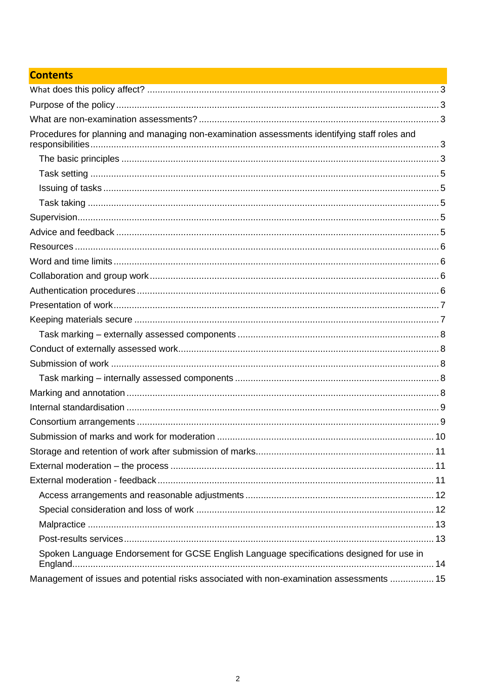# **Contents**

| Procedures for planning and managing non-examination assessments identifying staff roles and |  |
|----------------------------------------------------------------------------------------------|--|
|                                                                                              |  |
|                                                                                              |  |
|                                                                                              |  |
|                                                                                              |  |
|                                                                                              |  |
|                                                                                              |  |
|                                                                                              |  |
|                                                                                              |  |
|                                                                                              |  |
|                                                                                              |  |
|                                                                                              |  |
|                                                                                              |  |
|                                                                                              |  |
|                                                                                              |  |
|                                                                                              |  |
|                                                                                              |  |
|                                                                                              |  |
|                                                                                              |  |
|                                                                                              |  |
|                                                                                              |  |
|                                                                                              |  |
| Storage and retention of work after submission of marks<br>$\dots$ 11                        |  |
|                                                                                              |  |
|                                                                                              |  |
|                                                                                              |  |
|                                                                                              |  |
|                                                                                              |  |
|                                                                                              |  |
| Spoken Language Endorsement for GCSE English Language specifications designed for use in     |  |
|                                                                                              |  |
| Management of issues and potential risks associated with non-examination assessments  15     |  |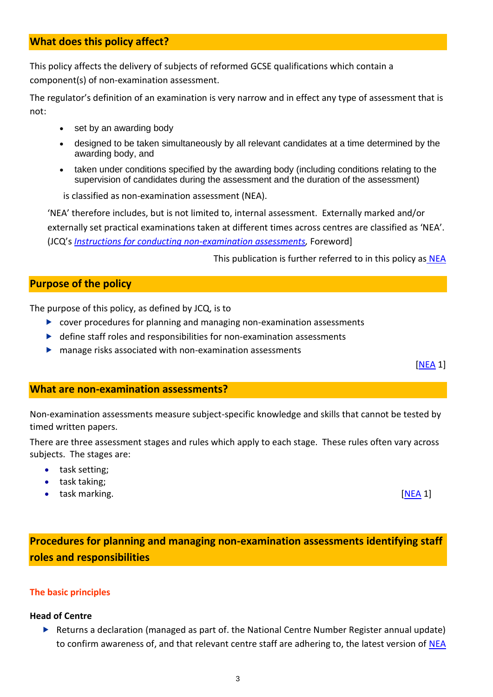# **What does this policy affect?**

This policy affects the delivery of subjects of reformed GCSE qualifications which contain a component(s) of non-examination assessment.

The regulator's definition of an examination is very narrow and in effect any type of assessment that is not:

- set by an awarding body
- designed to be taken simultaneously by all relevant candidates at a time determined by the awarding body, and
- taken under conditions specified by the awarding body (including conditions relating to the supervision of candidates during the assessment and the duration of the assessment)
- is classified as non-examination assessment (NEA).

'NEA' therefore includes, but is not limited to, internal assessment. Externally marked and/or externally set practical examinations taken at different times across centres are classified as 'NEA'. (JCQ's *[Instructions for conducting non-examination assessments,](http://www.jcq.org.uk/exams-office/information-for-candidates-documents)* Foreword]

This publication is further referred to in this policy as [NEA](http://www.jcq.org.uk/exams-office/non-examination-assessments)

# **Purpose of the policy**

The purpose of this policy, as defined by JCQ, is to

- cover procedures for planning and managing non-examination assessments
- define staff roles and responsibilities for non-examination assessments
- manage risks associated with non-examination assessments

[\[NEA](http://www.communityacademiestrust.org/) 1]

# **What are non-examination assessments?**

Non-examination assessments measure subject-specific knowledge and skills that cannot be tested by timed written papers.

There are three assessment stages and rules which apply to each stage. These rules often vary across subjects. The stages are:

- task setting;
- task taking;
- task marking. [\[NEA](http://www.jcq.org.uk/exams-office/non-examination-assessments) 1]

**Procedures for planning and managing non-examination assessments identifying staff roles and responsibilities**

# **The basic principles**

# **Head of Centre**

 Returns a declaration (managed as part of. the National Centre Number Register annual update) to confirm awareness of, and that relevant centre staff are adhering to, the latest version of [NEA](http://www.jcq.org.uk/exams-office/non-examination-assessments)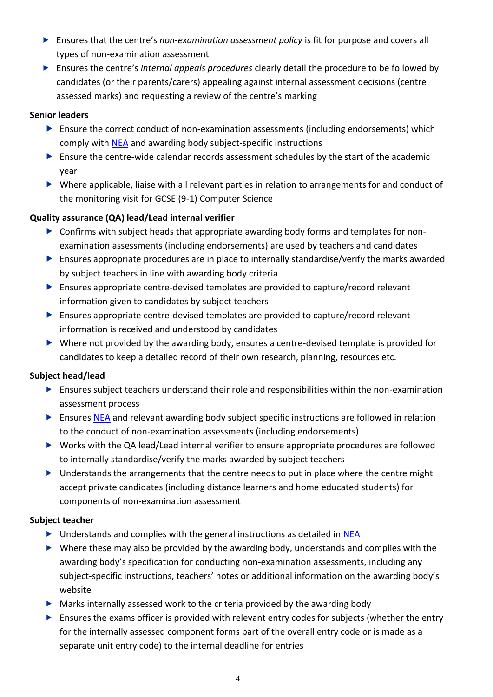- Ensures that the centre's *non-examination assessment policy* is fit for purpose and covers all types of non-examination assessment
- Ensures the centre's *internal appeals procedures* clearly detail the procedure to be followed by candidates (or their parents/carers) appealing against internal assessment decisions (centre assessed marks) and requesting a review of the centre's marking

# **Senior leaders**

- Ensure the correct conduct of non-examination assessments (including endorsements) which comply with [NEA](http://www.jcq.org.uk/exams-office/non-examination-assessments) and awarding body subject-specific instructions
- Ensure the centre-wide calendar records assessment schedules by the start of the academic year
- Where applicable, liaise with all relevant parties in relation to arrangements for and conduct of the monitoring visit for GCSE (9-1) Computer Science

# **Quality assurance (QA) lead/Lead internal verifier**

- Confirms with subject heads that appropriate awarding body forms and templates for nonexamination assessments (including endorsements) are used by teachers and candidates
- Ensures appropriate procedures are in place to internally standardise/verify the marks awarded by subject teachers in line with awarding body criteria
- Ensures appropriate centre-devised templates are provided to capture/record relevant information given to candidates by subject teachers
- Ensures appropriate centre-devised templates are provided to capture/record relevant information is received and understood by candidates
- Where not provided by the awarding body, ensures a centre-devised template is provided for candidates to keep a detailed record of their own research, planning, resources etc.

# **Subject head/lead**

- $\blacktriangleright$  Ensures subject teachers understand their role and responsibilities within the non-examination assessment process
- **E** Ensure[s NEA](http://www.jcq.org.uk/exams-office/non-examination-assessments) and relevant awarding body subject specific instructions are followed in relation to the conduct of non-examination assessments (including endorsements)
- Works with the QA lead/Lead internal verifier to ensure appropriate procedures are followed to internally standardise/verify the marks awarded by subject teachers
- $\triangleright$  Understands the arrangements that the centre needs to put in place where the centre might accept private candidates (including distance learners and home educated students) for components of non-examination assessment

# **Subject teacher**

- $\triangleright$  Understands and complies with the general instructions as detailed in [NEA](http://www.jcq.org.uk/exams-office/non-examination-assessments)
- $\triangleright$  Where these may also be provided by the awarding body, understands and complies with the awarding body's specification for conducting non-examination assessments, including any subject-specific instructions, teachers' notes or additional information on the awarding body's website
- $\blacktriangleright$  Marks internally assessed work to the criteria provided by the awarding body
- $\triangleright$  Ensures the exams officer is provided with relevant entry codes for subjects (whether the entry for the internally assessed component forms part of the overall entry code or is made as a separate unit entry code) to the internal deadline for entries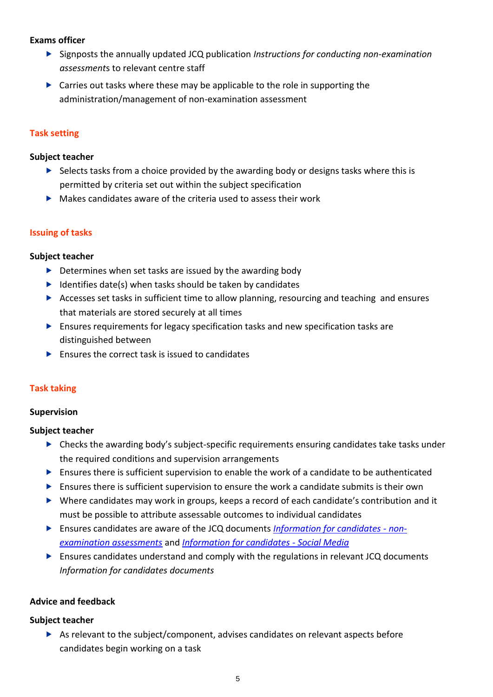# **Exams officer**

- Signposts the annually updated JCQ publication *Instructions for conducting non-examination assessment*s to relevant centre staff
- ▶ Carries out tasks where these may be applicable to the role in supporting the administration/management of non-examination assessment

# **Task setting**

#### **Subject teacher**

- $\triangleright$  Selects tasks from a choice provided by the awarding body or designs tasks where this is permitted by criteria set out within the subject specification
- $\triangleright$  Makes candidates aware of the criteria used to assess their work

# **Issuing of tasks**

# **Subject teacher**

- $\triangleright$  Determines when set tasks are issued by the awarding body
- $\blacktriangleright$  Identifies date(s) when tasks should be taken by candidates
- Accesses set tasks in sufficient time to allow planning, resourcing and teaching and ensures that materials are stored securely at all times
- Ensures requirements for legacy specification tasks and new specification tasks are distinguished between
- $\blacktriangleright$  Ensures the correct task is issued to candidates

# **Task taking**

# **Supervision**

# **Subject teacher**

- Checks the awarding body's subject-specific requirements ensuring candidates take tasks under the required conditions and supervision arrangements
- $\blacktriangleright$  Ensures there is sufficient supervision to enable the work of a candidate to be authenticated
- $\blacktriangleright$  Ensures there is sufficient supervision to ensure the work a candidate submits is their own
- Where candidates may work in groups, keeps a record of each candidate's contribution and it must be possible to attribute assessable outcomes to individual candidates
- Ensures candidates are aware of the JCQ documents *[Information for candidates -](http://www.jcq.org.uk/exams-office/non-examination-assessments) non[examination assessments](http://www.jcq.org.uk/exams-office/non-examination-assessments)* and *[Information for candidates -](http://www.jcq.org.uk/exams-office/post-results-services) Social Media*
- Ensures candidates understand and comply with the regulations in relevant JCQ documents *Information for candidates documents*

# **Advice and feedback**

# **Subject teacher**

 $\triangleright$  As relevant to the subject/component, advises candidates on relevant aspects before candidates begin working on a task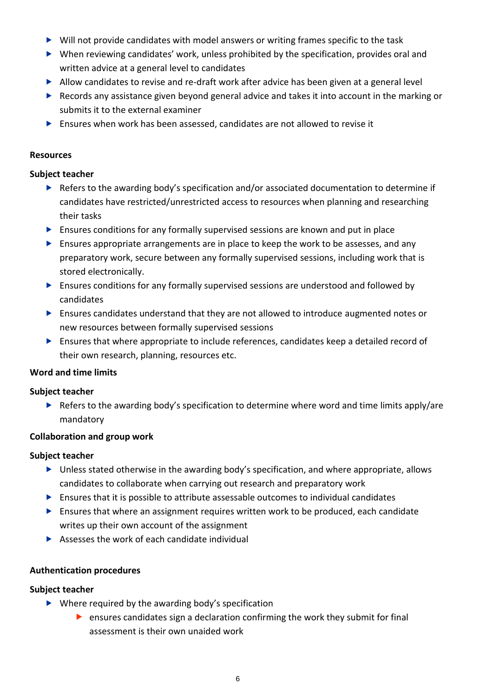- ▶ Will not provide candidates with model answers or writing frames specific to the task
- When reviewing candidates' work, unless prohibited by the specification, provides oral and written advice at a general level to candidates
- Allow candidates to revise and re-draft work after advice has been given at a general level
- $\blacktriangleright$  Records any assistance given beyond general advice and takes it into account in the marking or submits it to the external examiner
- Ensures when work has been assessed, candidates are not allowed to revise it

# **Resources**

# **Subject teacher**

- ▶ Refers to the awarding body's specification and/or associated documentation to determine if candidates have restricted/unrestricted access to resources when planning and researching their tasks
- $\blacktriangleright$  Ensures conditions for any formally supervised sessions are known and put in place
- $\triangleright$  Ensures appropriate arrangements are in place to keep the work to be assesses, and any preparatory work, secure between any formally supervised sessions, including work that is stored electronically.
- Ensures conditions for any formally supervised sessions are understood and followed by candidates
- Ensures candidates understand that they are not allowed to introduce augmented notes or new resources between formally supervised sessions
- Ensures that where appropriate to include references, candidates keep a detailed record of their own research, planning, resources etc.

# **Word and time limits**

# **Subject teacher**

Refers to the awarding body's specification to determine where word and time limits apply/are mandatory

# **Collaboration and group work**

# **Subject teacher**

- Unless stated otherwise in the awarding body's specification, and where appropriate, allows candidates to collaborate when carrying out research and preparatory work
- $\blacktriangleright$  Ensures that it is possible to attribute assessable outcomes to individual candidates
- Ensures that where an assignment requires written work to be produced, each candidate writes up their own account of the assignment
- $\triangleright$  Assesses the work of each candidate individual

# **Authentication procedures**

# **Subject teacher**

- $\triangleright$  Where required by the awarding body's specification
	- ensures candidates sign a declaration confirming the work they submit for final assessment is their own unaided work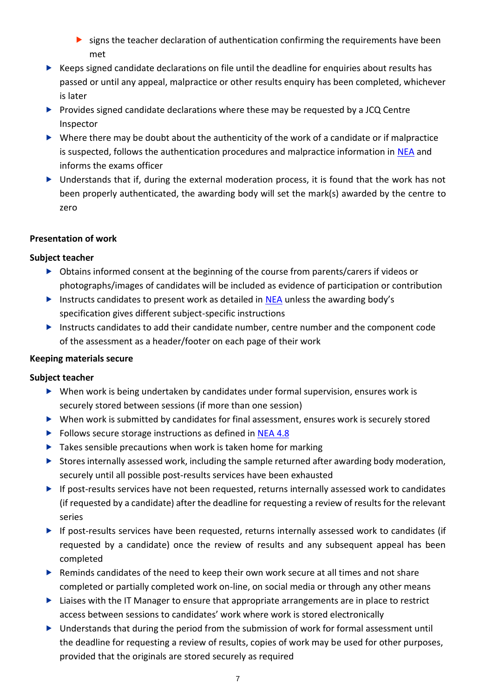- $\triangleright$  signs the teacher declaration of authentication confirming the requirements have been met
- $\triangleright$  Keeps signed candidate declarations on file until the deadline for enquiries about results has passed or until any appeal, malpractice or other results enquiry has been completed, whichever is later
- Provides signed candidate declarations where these may be requested by a JCQ Centre Inspector
- $\triangleright$  Where there may be doubt about the authenticity of the work of a candidate or if malpractice is suspected, follows the authentication procedures and malpractice information in [NEA](http://www.jcq.org.uk/exams-office/non-examination-assessments) and informs the exams officer
- ▶ Understands that if, during the external moderation process, it is found that the work has not been properly authenticated, the awarding body will set the mark(s) awarded by the centre to zero

# **Presentation of work**

# **Subject teacher**

- Obtains informed consent at the beginning of the course from parents/carers if videos or photographs/images of candidates will be included as evidence of participation or contribution
- Instructs candidates to present work as detailed in [NEA](http://www.jcq.org.uk/exams-office/non-examination-assessments) unless the awarding body's specification gives different subject-specific instructions
- Instructs candidates to add their candidate number, centre number and the component code of the assessment as a header/footer on each page of their work

# **Keeping materials secure**

# **Subject teacher**

- When work is being undertaken by candidates under formal supervision, ensures work is securely stored between sessions (if more than one session)
- When work is submitted by candidates for final assessment, ensures work is securely stored
- Follows secure storage instructions as defined in [NEA](http://www.jcq.org.uk/exams-office/non-examination-assessments) 4.8
- $\blacktriangleright$  Takes sensible precautions when work is taken home for marking
- Stores internally assessed work, including the sample returned after awarding body moderation, securely until all possible post-results services have been exhausted
- ▶ If post-results services have not been requested, returns internally assessed work to candidates (if requested by a candidate) after the deadline for requesting a review of results for the relevant series
- If post-results services have been requested, returns internally assessed work to candidates (if requested by a candidate) once the review of results and any subsequent appeal has been completed
- ▶ Reminds candidates of the need to keep their own work secure at all times and not share completed or partially completed work on-line, on social media or through any other means
- $\blacktriangleright$  Liaises with the IT Manager to ensure that appropriate arrangements are in place to restrict access between sessions to candidates' work where work is stored electronically
- Understands that during the period from the submission of work for formal assessment until the deadline for requesting a review of results, copies of work may be used for other purposes, provided that the originals are stored securely as required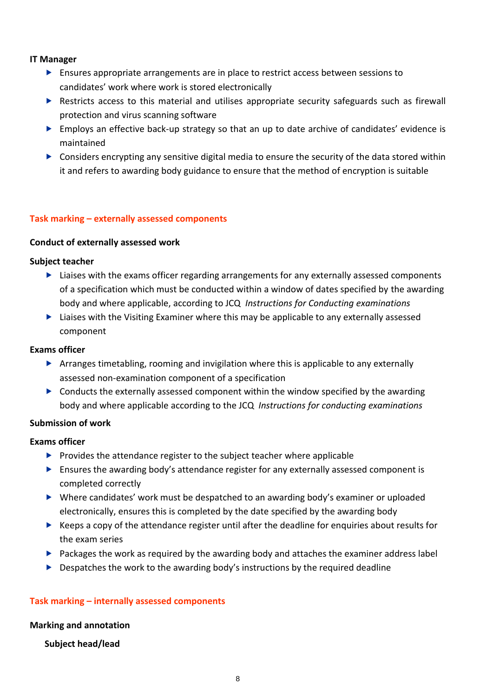# **IT Manager**

- Ensures appropriate arrangements are in place to restrict access between sessions to candidates' work where work is stored electronically
- **EXECUTE:** Restricts access to this material and utilises appropriate security safeguards such as firewall protection and virus scanning software
- $\triangleright$  Employs an effective back-up strategy so that an up to date archive of candidates' evidence is maintained
- **D** Considers encrypting any sensitive digital media to ensure the security of the data stored within it and refers to awarding body guidance to ensure that the method of encryption is suitable

# **Task marking – externally assessed components**

# **Conduct of externally assessed work**

# **Subject teacher**

- **Liaises with the exams officer regarding arrangements for any externally assessed components** of a specification which must be conducted within a window of dates specified by the awarding body and where applicable, according to JCQ *Instructions for Conducting examinations*
- **Liaises with the Visiting Examiner where this may be applicable to any externally assessed** component

#### **Exams officer**

- Arranges timetabling, rooming and invigilation where this is applicable to any externally assessed non-examination component of a specification
- $\triangleright$  Conducts the externally assessed component within the window specified by the awarding body and where applicable according to the JCQ *Instructions for conducting examinations*

# **Submission of work**

# **Exams officer**

- $\blacktriangleright$  Provides the attendance register to the subject teacher where applicable
- $\triangleright$  Ensures the awarding body's attendance register for any externally assessed component is completed correctly
- Where candidates' work must be despatched to an awarding body's examiner or uploaded electronically, ensures this is completed by the date specified by the awarding body
- $\blacktriangleright$  Keeps a copy of the attendance register until after the deadline for enquiries about results for the exam series
- $\blacktriangleright$  Packages the work as required by the awarding body and attaches the examiner address label
- $\triangleright$  Despatches the work to the awarding body's instructions by the required deadline

# **Task marking – internally assessed components**

#### **Marking and annotation**

# **Subject head/lead**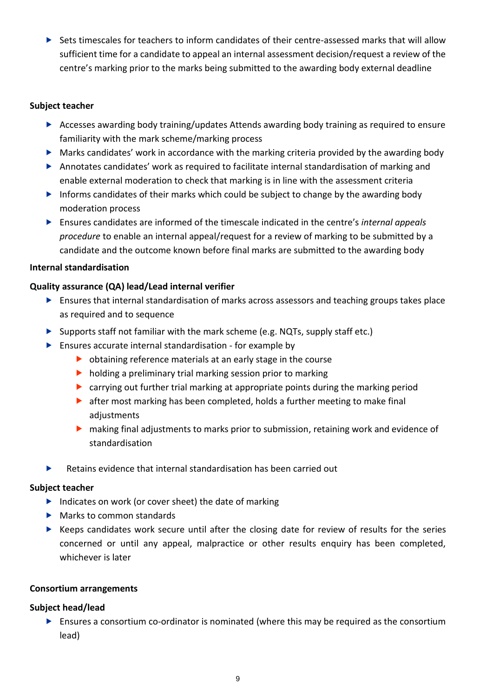Sets timescales for teachers to inform candidates of their centre-assessed marks that will allow sufficient time for a candidate to appeal an internal assessment decision/request a review of the centre's marking prior to the marks being submitted to the awarding body external deadline

# **Subject teacher**

- Accesses awarding body training/updates Attends awarding body training as required to ensure familiarity with the mark scheme/marking process
- Marks candidates' work in accordance with the marking criteria provided by the awarding body
- Annotates candidates' work as required to facilitate internal standardisation of marking and enable external moderation to check that marking is in line with the assessment criteria
- Informs candidates of their marks which could be subject to change by the awarding body moderation process
- Ensures candidates are informed of the timescale indicated in the centre's *internal appeals procedure* to enable an internal appeal/request for a review of marking to be submitted by a candidate and the outcome known before final marks are submitted to the awarding body

# **Internal standardisation**

# **Quality assurance (QA) lead/Lead internal verifier**

- **E** Ensures that internal standardisation of marks across assessors and teaching groups takes place as required and to sequence
- $\triangleright$  Supports staff not familiar with the mark scheme (e.g. NQTs, supply staff etc.)
- Ensures accurate internal standardisation for example by
	- $\triangleright$  obtaining reference materials at an early stage in the course
	- $\blacktriangleright$  holding a preliminary trial marking session prior to marking
	- carrying out further trial marking at appropriate points during the marking period
	- **•** after most marking has been completed, holds a further meeting to make final adiustments
	- making final adjustments to marks prior to submission, retaining work and evidence of standardisation
- $\blacktriangleright$  Retains evidence that internal standardisation has been carried out

# **Subject teacher**

- $\blacktriangleright$  Indicates on work (or cover sheet) the date of marking
- Marks to common standards
- $\blacktriangleright$  Keeps candidates work secure until after the closing date for review of results for the series concerned or until any appeal, malpractice or other results enquiry has been completed, whichever is later

# **Consortium arrangements**

# **Subject head/lead**

 Ensures a consortium co-ordinator is nominated (where this may be required as the consortium lead)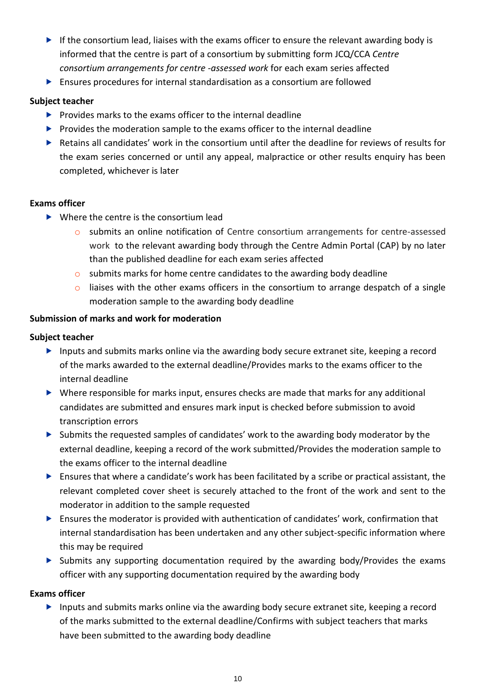- If the consortium lead, liaises with the exams officer to ensure the relevant awarding body is informed that the centre is part of a consortium by submitting form JCQ/CCA *Centre consortium arrangements for centre -assessed work* for each exam series affected
- Ensures procedures for internal standardisation as a consortium are followed

# **Subject teacher**

- $\blacktriangleright$  Provides marks to the exams officer to the internal deadline
- $\blacktriangleright$  Provides the moderation sample to the exams officer to the internal deadline
- Retains all candidates' work in the consortium until after the deadline for reviews of results for the exam series concerned or until any appeal, malpractice or other results enquiry has been completed, whichever is later

# **Exams officer**

- $\blacktriangleright$  Where the centre is the consortium lead
	- o submits an online notification of Centre consortium arrangements for centre-assessed work to the relevant awarding body through the Centre Admin Portal (CAP) by no later than the published deadline for each exam series affected
	- $\circ$  submits marks for home centre candidates to the awarding body deadline
	- $\circ$  liaises with the other exams officers in the consortium to arrange despatch of a single moderation sample to the awarding body deadline

# **Submission of marks and work for moderation**

# **Subject teacher**

- Inputs and submits marks online via the awarding body secure extranet site, keeping a record of the marks awarded to the external deadline/Provides marks to the exams officer to the internal deadline
- Where responsible for marks input, ensures checks are made that marks for any additional candidates are submitted and ensures mark input is checked before submission to avoid transcription errors
- Submits the requested samples of candidates' work to the awarding body moderator by the external deadline, keeping a record of the work submitted/Provides the moderation sample to the exams officer to the internal deadline
- $\triangleright$  Ensures that where a candidate's work has been facilitated by a scribe or practical assistant, the relevant completed cover sheet is securely attached to the front of the work and sent to the moderator in addition to the sample requested
- Ensures the moderator is provided with authentication of candidates' work, confirmation that internal standardisation has been undertaken and any other subject-specific information where this may be required
- $\triangleright$  Submits any supporting documentation required by the awarding body/Provides the exams officer with any supporting documentation required by the awarding body

# **Exams officer**

**Inputs and submits marks online via the awarding body secure extranet site, keeping a record** of the marks submitted to the external deadline/Confirms with subject teachers that marks have been submitted to the awarding body deadline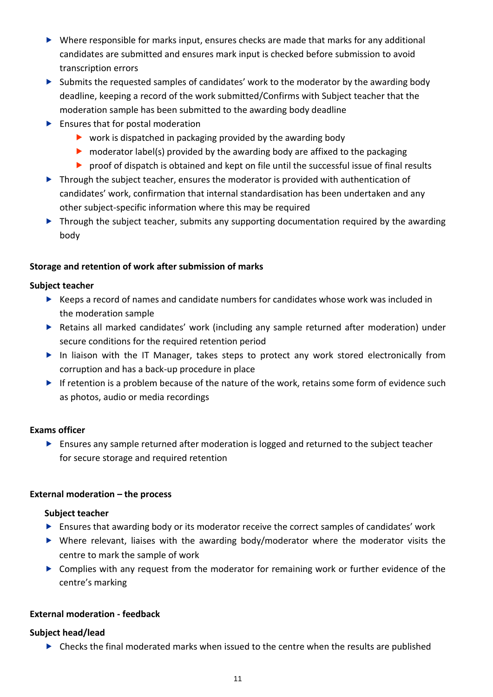- Where responsible for marks input, ensures checks are made that marks for any additional candidates are submitted and ensures mark input is checked before submission to avoid transcription errors
- $\triangleright$  Submits the requested samples of candidates' work to the moderator by the awarding body deadline, keeping a record of the work submitted/Confirms with Subject teacher that the moderation sample has been submitted to the awarding body deadline
- **Ensures that for postal moderation** 
	- $\triangleright$  work is dispatched in packaging provided by the awarding body
	- $\triangleright$  moderator label(s) provided by the awarding body are affixed to the packaging
	- proof of dispatch is obtained and kept on file until the successful issue of final results
- **Through the subject teacher, ensures the moderator is provided with authentication of** candidates' work, confirmation that internal standardisation has been undertaken and any other subject-specific information where this may be required
- ▶ Through the subject teacher, submits any supporting documentation required by the awarding body

# **Storage and retention of work after submission of marks**

# **Subject teacher**

- $\blacktriangleright$  Keeps a record of names and candidate numbers for candidates whose work was included in the moderation sample
- Retains all marked candidates' work (including any sample returned after moderation) under secure conditions for the required retention period
- In liaison with the IT Manager, takes steps to protect any work stored electronically from corruption and has a back-up procedure in place
- If retention is a problem because of the nature of the work, retains some form of evidence such as photos, audio or media recordings

# **Exams officer**

 Ensures any sample returned after moderation is logged and returned to the subject teacher for secure storage and required retention

# **External moderation – the process**

# **Subject teacher**

- $\blacktriangleright$  Ensures that awarding body or its moderator receive the correct samples of candidates' work
- Where relevant, liaises with the awarding body/moderator where the moderator visits the centre to mark the sample of work
- Complies with any request from the moderator for remaining work or further evidence of the centre's marking

# **External moderation - feedback**

# **Subject head/lead**

Checks the final moderated marks when issued to the centre when the results are published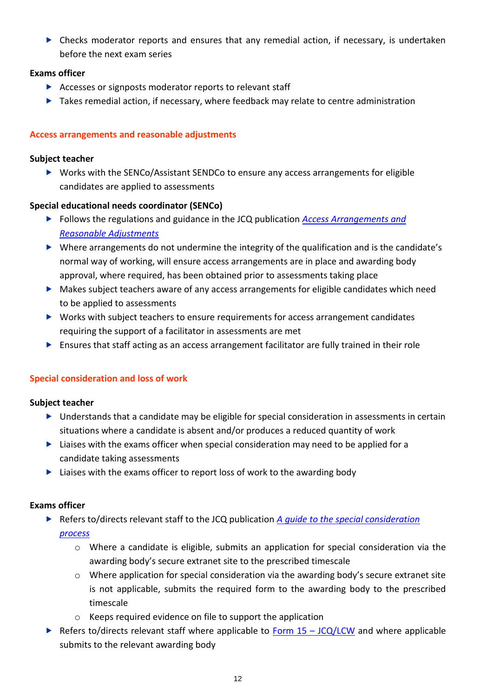Checks moderator reports and ensures that any remedial action, if necessary, is undertaken before the next exam series

# **Exams officer**

- Accesses or signposts moderator reports to relevant staff
- ▶ Takes remedial action, if necessary, where feedback may relate to centre administration

# **Access arrangements and reasonable adjustments**

# **Subject teacher**

▶ Works with the SENCo/Assistant SENDCo to ensure any access arrangements for eligible candidates are applied to assessments

# **Special educational needs coordinator (SENCo)**

- Follows the regulations and guidance in the JCQ publication *[Access Arrangements and](http://www.jcq.org.uk/exams-office/access-arrangements-and-special-consideration)  [Reasonable Adjustments](http://www.jcq.org.uk/exams-office/access-arrangements-and-special-consideration)*
- Where arrangements do not undermine the integrity of the qualification and is the candidate's normal way of working, will ensure access arrangements are in place and awarding body approval, where required, has been obtained prior to assessments taking place
- Makes subject teachers aware of any access arrangements for eligible candidates which need to be applied to assessments
- ▶ Works with subject teachers to ensure requirements for access arrangement candidates requiring the support of a facilitator in assessments are met
- $\triangleright$  Ensures that staff acting as an access arrangement facilitator are fully trained in their role

# **Special consideration and loss of work**

# **Subject teacher**

- Understands that a candidate may be eligible for special consideration in assessments in certain situations where a candidate is absent and/or produces a reduced quantity of work
- $\blacktriangleright$  Liaises with the exams officer when special consideration may need to be applied for a candidate taking assessments
- $\blacktriangleright$  Liaises with the exams officer to report loss of work to the awarding body

# **Exams officer**

- ▶ Refers to/directs relevant staff to the JCQ publication *A guide to the special consideration [process](http://www.jcq.org.uk/exams-office/access-arrangements-and-special-consideration)* 
	- o Where a candidate is eligible, submits an application for special consideration via the awarding body's secure extranet site to the prescribed timescale
	- $\circ$  Where application for special consideration via the awarding body's secure extranet site is not applicable, submits the required form to the awarding body to the prescribed timescale
	- o Keeps required evidence on file to support the application
- Refers to/directs relevant staff where applicable to Form  $15 JCQ/LCW$  and where applicable submits to the relevant awarding body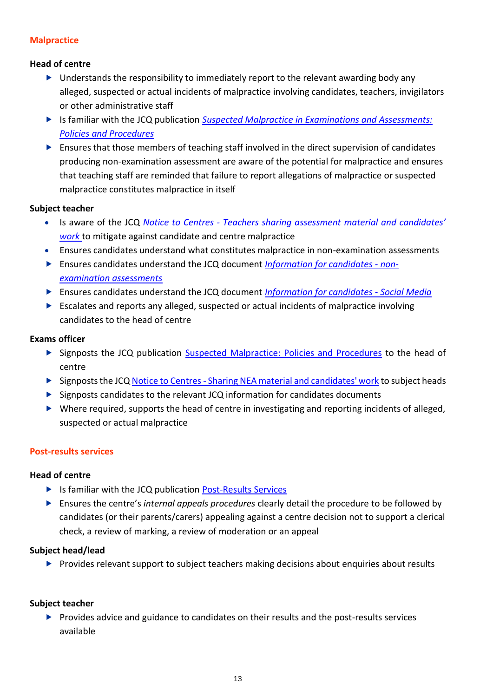# **Malpractice**

# **Head of centre**

- ▶ Understands the responsibility to immediately report to the relevant awarding body any alleged, suspected or actual incidents of malpractice involving candidates, teachers, invigilators or other administrative staff
- Is familiar with the JCQ publication *[Suspected Malpractice in Examinations and Assessments:](http://www.jcq.org.uk/exams-office/malpractice)  [Policies and Procedures](http://www.jcq.org.uk/exams-office/malpractice)*
- $\blacktriangleright$  Ensures that those members of teaching staff involved in the direct supervision of candidates producing non-examination assessment are aware of the potential for malpractice and ensures that teaching staff are reminded that failure to report allegations of malpractice or suspected malpractice constitutes malpractice in itself

# **Subject teacher**

- Is aware of the JCQ *Notice to Centres - [Teachers sharing assessment material and candidates'](http://www.jcq.org.uk/exams-office/non-examination-assessments)  [work](http://www.jcq.org.uk/exams-office/non-examination-assessments)* to mitigate against candidate and centre malpractice
- Ensures candidates understand what constitutes malpractice in non-examination assessments
- Ensures candidates understand the JCQ document *[Information for candidates -](http://www.jcq.org.uk/exams-office/information-for-candidates-documents) non[examination assessments](http://www.jcq.org.uk/exams-office/information-for-candidates-documents)*
- Ensures candidates understand the JCQ document *[Information for candidates -](http://www.jcq.org.uk/exams-office/information-for-candidates-documents) Social Media*
- Escalates and reports any alleged, suspected or actual incidents of malpractice involving candidates to the head of centre

# **Exams officer**

- Signposts the JCQ publication [Suspected Malpractice: Policies and Procedures](http://www.jcq.org.uk/exams-office/malpractice) to the head of centre
- Signposts the JCQ Notice to Centres [Sharing NEA material and candidates' work](http://www.jcq.org.uk/exams-office/non-examination-assessments) to subject heads
- $\triangleright$  Signposts candidates to the relevant JCQ information for candidates documents
- Where required, supports the head of centre in investigating and reporting incidents of alleged, suspected or actual malpractice

# **Post-results services**

# **Head of centre**

- ▶ Is familiar with the JCQ publication [Post-Results Services](https://www.jcq.org.uk/exams-office/post-results-services)
- Ensures the centre's *internal appeals procedures* clearly detail the procedure to be followed by candidates (or their parents/carers) appealing against a centre decision not to support a clerical check, a review of marking, a review of moderation or an appeal

# **Subject head/lead**

**Provides relevant support to subject teachers making decisions about enquiries about results** 

# **Subject teacher**

 $\triangleright$  Provides advice and guidance to candidates on their results and the post-results services available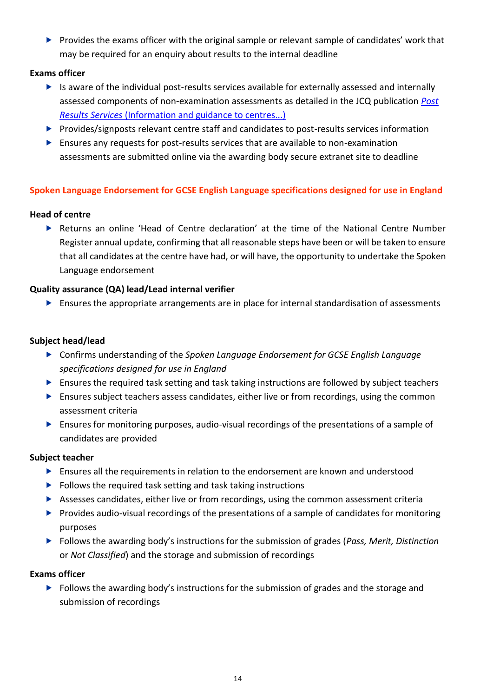Provides the exams officer with the original sample or relevant sample of candidates' work that may be required for an enquiry about results to the internal deadline

# **Exams officer**

- $\blacktriangleright$  Is aware of the individual post-results services available for externally assessed and internally assessed components of non-examination assessments as detailed in the JCQ publication *[Post](http://www.jcq.org.uk/exams-office/post-results-services)  Results Services* [\(Information and guidance to centres...\)](http://www.jcq.org.uk/exams-office/post-results-services)
- Provides/signposts relevant centre staff and candidates to post-results services information
- Ensures any requests for post-results services that are available to non-examination assessments are submitted online via the awarding body secure extranet site to deadline

# **Spoken Language Endorsement for GCSE English Language specifications designed for use in England**

# **Head of centre**

 Returns an online 'Head of Centre declaration' at the time of the National Centre Number Register annual update, confirming that all reasonable steps have been or will be taken to ensure that all candidates at the centre have had, or will have, the opportunity to undertake the Spoken Language endorsement

# **Quality assurance (QA) lead/Lead internal verifier**

 $\blacktriangleright$  Ensures the appropriate arrangements are in place for internal standardisation of assessments

# **Subject head/lead**

- Confirms understanding of the *Spoken Language Endorsement for GCSE English Language specifications designed for use in England*
- Ensures the required task setting and task taking instructions are followed by subject teachers
- **Ensures subject teachers assess candidates, either live or from recordings, using the common** assessment criteria
- Ensures for monitoring purposes, audio-visual recordings of the presentations of a sample of candidates are provided

# **Subject teacher**

- Ensures all the requirements in relation to the endorsement are known and understood
- $\blacktriangleright$  Follows the required task setting and task taking instructions
- Assesses candidates, either live or from recordings, using the common assessment criteria
- Provides audio-visual recordings of the presentations of a sample of candidates for monitoring purposes
- Follows the awarding body's instructions for the submission of grades (*Pass, Merit, Distinction* or *Not Classified*) and the storage and submission of recordings

# **Exams officer**

**Follows the awarding body's instructions for the submission of grades and the storage and** submission of recordings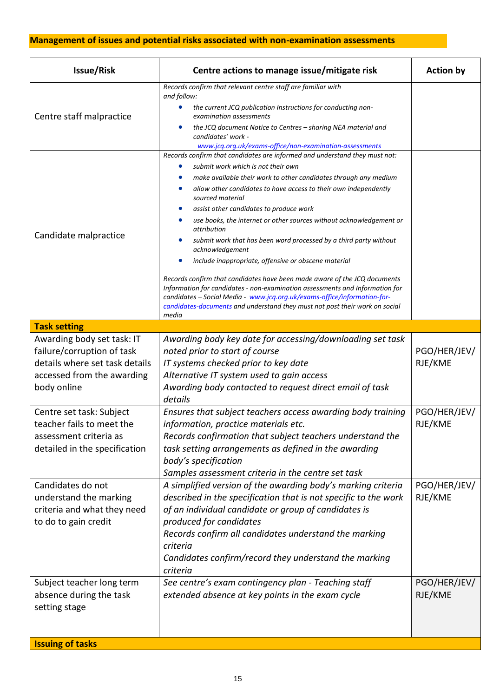# **Management of issues and potential risks associated with non-examination assessments**

|                                                                                                                                         |                                                                                                                                                                                                                                                                                                                                                                                                                                                                                                                                                                                                                                                                                                                                 | <b>Action by</b>        |
|-----------------------------------------------------------------------------------------------------------------------------------------|---------------------------------------------------------------------------------------------------------------------------------------------------------------------------------------------------------------------------------------------------------------------------------------------------------------------------------------------------------------------------------------------------------------------------------------------------------------------------------------------------------------------------------------------------------------------------------------------------------------------------------------------------------------------------------------------------------------------------------|-------------------------|
|                                                                                                                                         | Records confirm that relevant centre staff are familiar with<br>and follow:<br>the current JCQ publication Instructions for conducting non-                                                                                                                                                                                                                                                                                                                                                                                                                                                                                                                                                                                     |                         |
| Centre staff malpractice                                                                                                                | examination assessments<br>the JCQ document Notice to Centres - sharing NEA material and<br>candidates' work -<br>www.jcq.org.uk/exams-office/non-examination-assessments                                                                                                                                                                                                                                                                                                                                                                                                                                                                                                                                                       |                         |
| Candidate malpractice                                                                                                                   | Records confirm that candidates are informed and understand they must not:<br>submit work which is not their own<br>make available their work to other candidates through any medium<br>allow other candidates to have access to their own independently<br>sourced material<br>assist other candidates to produce work<br>use books, the internet or other sources without acknowledgement or<br>attribution<br>submit work that has been word processed by a third party without<br>acknowledgement<br>include inappropriate, offensive or obscene material<br>۰<br>Records confirm that candidates have been made aware of the JCQ documents<br>Information for candidates - non-examination assessments and Information for |                         |
|                                                                                                                                         | candidates - Social Media - www.jcq.org.uk/exams-office/information-for-<br>candidates-documents and understand they must not post their work on social<br>media                                                                                                                                                                                                                                                                                                                                                                                                                                                                                                                                                                |                         |
| <b>Task setting</b>                                                                                                                     |                                                                                                                                                                                                                                                                                                                                                                                                                                                                                                                                                                                                                                                                                                                                 |                         |
| Awarding body set task: IT<br>failure/corruption of task<br>details where set task details<br>accessed from the awarding<br>body online | Awarding body key date for accessing/downloading set task<br>noted prior to start of course<br>IT systems checked prior to key date<br>Alternative IT system used to gain access<br>Awarding body contacted to request direct email of task<br>details                                                                                                                                                                                                                                                                                                                                                                                                                                                                          | PGO/HER/JEV/<br>RJE/KME |
| Centre set task: Subject<br>teacher fails to meet the<br>assessment criteria as<br>detailed in the specification                        | Ensures that subject teachers access awarding body training<br>information, practice materials etc.<br>Records confirmation that subject teachers understand the<br>task setting arrangements as defined in the awarding<br>body's specification<br>Samples assessment criteria in the centre set task                                                                                                                                                                                                                                                                                                                                                                                                                          | PGO/HER/JEV/<br>RJE/KME |
| Candidates do not<br>understand the marking<br>criteria and what they need<br>to do to gain credit                                      | A simplified version of the awarding body's marking criteria<br>described in the specification that is not specific to the work<br>of an individual candidate or group of candidates is<br>produced for candidates<br>Records confirm all candidates understand the marking<br>criteria<br>Candidates confirm/record they understand the marking<br>criteria                                                                                                                                                                                                                                                                                                                                                                    | PGO/HER/JEV/<br>RJE/KME |
| Subject teacher long term<br>absence during the task<br>setting stage<br><b>Issuing of tasks</b>                                        | See centre's exam contingency plan - Teaching staff<br>extended absence at key points in the exam cycle                                                                                                                                                                                                                                                                                                                                                                                                                                                                                                                                                                                                                         | PGO/HER/JEV/<br>RJE/KME |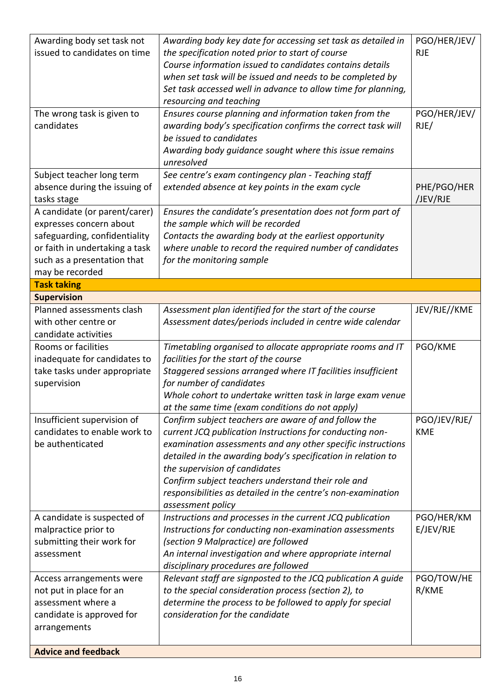| Awarding body set task not<br>issued to candidates on time                                                                                                                    | Awarding body key date for accessing set task as detailed in<br>the specification noted prior to start of course<br>Course information issued to candidates contains details<br>when set task will be issued and needs to be completed by<br>Set task accessed well in advance to allow time for planning,<br>resourcing and teaching                                                                                       | PGO/HER/JEV/<br><b>RJE</b> |
|-------------------------------------------------------------------------------------------------------------------------------------------------------------------------------|-----------------------------------------------------------------------------------------------------------------------------------------------------------------------------------------------------------------------------------------------------------------------------------------------------------------------------------------------------------------------------------------------------------------------------|----------------------------|
| The wrong task is given to<br>candidates                                                                                                                                      | Ensures course planning and information taken from the<br>awarding body's specification confirms the correct task will<br>be issued to candidates<br>Awarding body guidance sought where this issue remains<br>unresolved                                                                                                                                                                                                   | PGO/HER/JEV/<br>RJE/       |
| Subject teacher long term<br>absence during the issuing of<br>tasks stage                                                                                                     | See centre's exam contingency plan - Teaching staff<br>extended absence at key points in the exam cycle                                                                                                                                                                                                                                                                                                                     | PHE/PGO/HER<br>/JEV/RJE    |
| A candidate (or parent/carer)<br>expresses concern about<br>safeguarding, confidentiality<br>or faith in undertaking a task<br>such as a presentation that<br>may be recorded | Ensures the candidate's presentation does not form part of<br>the sample which will be recorded<br>Contacts the awarding body at the earliest opportunity<br>where unable to record the required number of candidates<br>for the monitoring sample                                                                                                                                                                          |                            |
| <b>Task taking</b>                                                                                                                                                            |                                                                                                                                                                                                                                                                                                                                                                                                                             |                            |
| <b>Supervision</b><br>Planned assessments clash<br>with other centre or<br>candidate activities                                                                               | Assessment plan identified for the start of the course<br>Assessment dates/periods included in centre wide calendar                                                                                                                                                                                                                                                                                                         | JEV/RJE//KME               |
| Rooms or facilities<br>inadequate for candidates to<br>take tasks under appropriate<br>supervision                                                                            | Timetabling organised to allocate appropriate rooms and IT<br>facilities for the start of the course<br>Staggered sessions arranged where IT facilities insufficient<br>for number of candidates<br>Whole cohort to undertake written task in large exam venue<br>at the same time (exam conditions do not apply)                                                                                                           | PGO/KME                    |
| Insufficient supervision of<br>candidates to enable work to<br>be authenticated                                                                                               | Confirm subject teachers are aware of and follow the<br>current JCQ publication Instructions for conducting non-<br>examination assessments and any other specific instructions<br>detailed in the awarding body's specification in relation to<br>the supervision of candidates<br>Confirm subject teachers understand their role and<br>responsibilities as detailed in the centre's non-examination<br>assessment policy | PGO/JEV/RJE/<br><b>KME</b> |
| A candidate is suspected of<br>malpractice prior to<br>submitting their work for<br>assessment                                                                                | Instructions and processes in the current JCQ publication<br>Instructions for conducting non-examination assessments<br>(section 9 Malpractice) are followed<br>An internal investigation and where appropriate internal<br>disciplinary procedures are followed                                                                                                                                                            | PGO/HER/KM<br>E/JEV/RJE    |
| Access arrangements were<br>not put in place for an<br>assessment where a<br>candidate is approved for<br>arrangements                                                        | Relevant staff are signposted to the JCQ publication A guide<br>to the special consideration process (section 2), to<br>determine the process to be followed to apply for special<br>consideration for the candidate                                                                                                                                                                                                        | PGO/TOW/HE<br>R/KME        |
| <b>Advice and feedback</b>                                                                                                                                                    |                                                                                                                                                                                                                                                                                                                                                                                                                             |                            |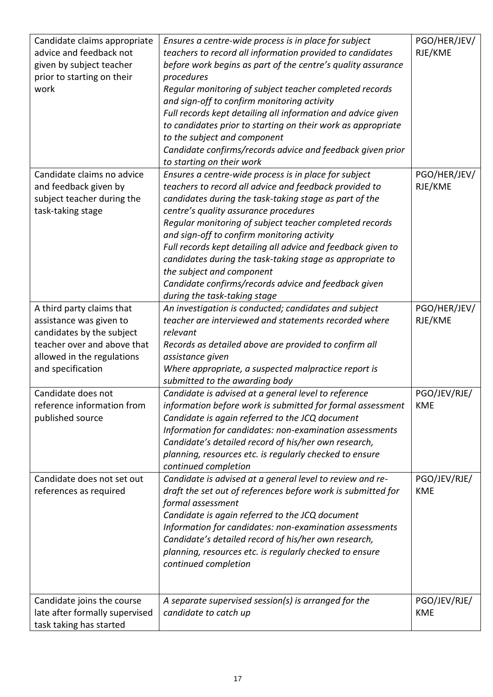| Candidate claims appropriate<br>advice and feedback not<br>given by subject teacher<br>prior to starting on their<br>work                                           | Ensures a centre-wide process is in place for subject<br>teachers to record all information provided to candidates<br>before work begins as part of the centre's quality assurance<br>procedures<br>Regular monitoring of subject teacher completed records<br>and sign-off to confirm monitoring activity<br>Full records kept detailing all information and advice given<br>to candidates prior to starting on their work as appropriate<br>to the subject and component<br>Candidate confirms/records advice and feedback given prior<br>to starting on their work          | PGO/HER/JEV/<br>RJE/KME    |
|---------------------------------------------------------------------------------------------------------------------------------------------------------------------|--------------------------------------------------------------------------------------------------------------------------------------------------------------------------------------------------------------------------------------------------------------------------------------------------------------------------------------------------------------------------------------------------------------------------------------------------------------------------------------------------------------------------------------------------------------------------------|----------------------------|
| Candidate claims no advice<br>and feedback given by<br>subject teacher during the<br>task-taking stage                                                              | Ensures a centre-wide process is in place for subject<br>teachers to record all advice and feedback provided to<br>candidates during the task-taking stage as part of the<br>centre's quality assurance procedures<br>Regular monitoring of subject teacher completed records<br>and sign-off to confirm monitoring activity<br>Full records kept detailing all advice and feedback given to<br>candidates during the task-taking stage as appropriate to<br>the subject and component<br>Candidate confirms/records advice and feedback given<br>during the task-taking stage | PGO/HER/JEV/<br>RJE/KME    |
| A third party claims that<br>assistance was given to<br>candidates by the subject<br>teacher over and above that<br>allowed in the regulations<br>and specification | An investigation is conducted; candidates and subject<br>teacher are interviewed and statements recorded where<br>relevant<br>Records as detailed above are provided to confirm all<br>assistance given<br>Where appropriate, a suspected malpractice report is<br>submitted to the awarding body                                                                                                                                                                                                                                                                              | PGO/HER/JEV/<br>RJE/KME    |
| Candidate does not<br>reference information from<br>published source                                                                                                | Candidate is advised at a general level to reference<br>information before work is submitted for formal assessment<br>Candidate is again referred to the JCQ document<br>Information for candidates: non-examination assessments<br>Candidate's detailed record of his/her own research,<br>planning, resources etc. is regularly checked to ensure<br>continued completion                                                                                                                                                                                                    | PGO/JEV/RJE/<br>KME        |
| Candidate does not set out<br>references as required                                                                                                                | Candidate is advised at a general level to review and re-<br>draft the set out of references before work is submitted for<br>formal assessment<br>Candidate is again referred to the JCQ document<br>Information for candidates: non-examination assessments<br>Candidate's detailed record of his/her own research,<br>planning, resources etc. is regularly checked to ensure<br>continued completion                                                                                                                                                                        | PGO/JEV/RJE/<br><b>KME</b> |
| Candidate joins the course<br>late after formally supervised<br>task taking has started                                                                             | A separate supervised session(s) is arranged for the<br>candidate to catch up                                                                                                                                                                                                                                                                                                                                                                                                                                                                                                  | PGO/JEV/RJE/<br><b>KME</b> |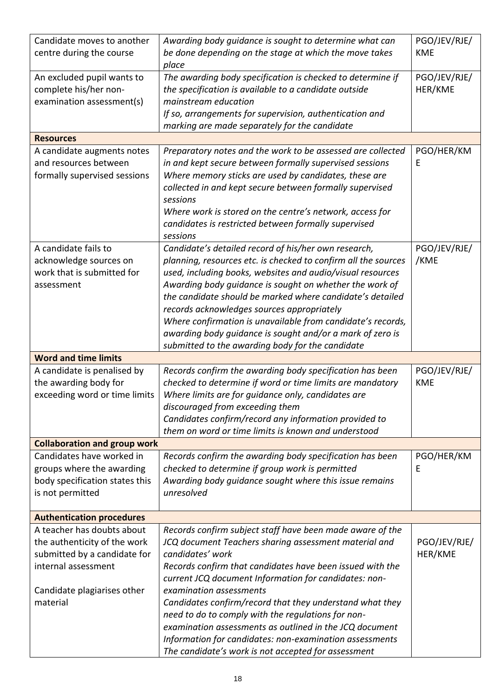| Candidate moves to another          | Awarding body guidance is sought to determine what can         | PGO/JEV/RJE/ |
|-------------------------------------|----------------------------------------------------------------|--------------|
| centre during the course            | be done depending on the stage at which the move takes         | <b>KME</b>   |
|                                     | place                                                          |              |
| An excluded pupil wants to          | The awarding body specification is checked to determine if     | PGO/JEV/RJE/ |
| complete his/her non-               | the specification is available to a candidate outside          | HER/KME      |
| examination assessment(s)           | mainstream education                                           |              |
|                                     | If so, arrangements for supervision, authentication and        |              |
|                                     | marking are made separately for the candidate                  |              |
| <b>Resources</b>                    |                                                                |              |
| A candidate augments notes          | Preparatory notes and the work to be assessed are collected    | PGO/HER/KM   |
| and resources between               | in and kept secure between formally supervised sessions        | E            |
| formally supervised sessions        | Where memory sticks are used by candidates, these are          |              |
|                                     | collected in and kept secure between formally supervised       |              |
|                                     | sessions                                                       |              |
|                                     | Where work is stored on the centre's network, access for       |              |
|                                     | candidates is restricted between formally supervised           |              |
|                                     | sessions                                                       |              |
|                                     |                                                                |              |
| A candidate fails to                | Candidate's detailed record of his/her own research,           | PGO/JEV/RJE/ |
| acknowledge sources on              | planning, resources etc. is checked to confirm all the sources | /KME         |
| work that is submitted for          | used, including books, websites and audio/visual resources     |              |
| assessment                          | Awarding body guidance is sought on whether the work of        |              |
|                                     | the candidate should be marked where candidate's detailed      |              |
|                                     | records acknowledges sources appropriately                     |              |
|                                     | Where confirmation is unavailable from candidate's records,    |              |
|                                     | awarding body guidance is sought and/or a mark of zero is      |              |
|                                     | submitted to the awarding body for the candidate               |              |
| <b>Word and time limits</b>         |                                                                |              |
| A candidate is penalised by         | Records confirm the awarding body specification has been       | PGO/JEV/RJE/ |
| the awarding body for               | checked to determine if word or time limits are mandatory      | <b>KME</b>   |
| exceeding word or time limits       | Where limits are for guidance only, candidates are             |              |
|                                     | discouraged from exceeding them                                |              |
|                                     | Candidates confirm/record any information provided to          |              |
|                                     | them on word or time limits is known and understood            |              |
| <b>Collaboration and group work</b> |                                                                |              |
| Candidates have worked in           | Records confirm the awarding body specification has been       | PGO/HER/KM   |
| groups where the awarding           | checked to determine if group work is permitted                | Е            |
| body specification states this      | Awarding body guidance sought where this issue remains         |              |
| is not permitted                    | unresolved                                                     |              |
|                                     |                                                                |              |
| <b>Authentication procedures</b>    |                                                                |              |
| A teacher has doubts about          | Records confirm subject staff have been made aware of the      |              |
| the authenticity of the work        | JCQ document Teachers sharing assessment material and          | PGO/JEV/RJE/ |
| submitted by a candidate for        | candidates' work                                               | HER/KME      |
| internal assessment                 | Records confirm that candidates have been issued with the      |              |
|                                     | current JCQ document Information for candidates: non-          |              |
| Candidate plagiarises other         | examination assessments                                        |              |
| material                            | Candidates confirm/record that they understand what they       |              |
|                                     | need to do to comply with the regulations for non-             |              |
|                                     | examination assessments as outlined in the JCQ document        |              |
|                                     | Information for candidates: non-examination assessments        |              |
|                                     | The candidate's work is not accepted for assessment            |              |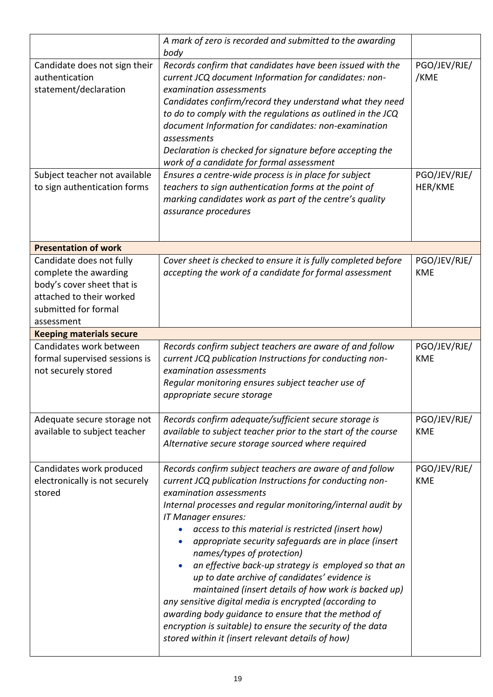|                                                                                                                                                   | A mark of zero is recorded and submitted to the awarding<br>body                                                                                                                                                                                                                                                                                                                                                                                                                                                                                                                                                                                                                                                                                                                       |                            |
|---------------------------------------------------------------------------------------------------------------------------------------------------|----------------------------------------------------------------------------------------------------------------------------------------------------------------------------------------------------------------------------------------------------------------------------------------------------------------------------------------------------------------------------------------------------------------------------------------------------------------------------------------------------------------------------------------------------------------------------------------------------------------------------------------------------------------------------------------------------------------------------------------------------------------------------------------|----------------------------|
| Candidate does not sign their<br>authentication<br>statement/declaration                                                                          | Records confirm that candidates have been issued with the<br>current JCQ document Information for candidates: non-<br>examination assessments<br>Candidates confirm/record they understand what they need<br>to do to comply with the regulations as outlined in the JCQ<br>document Information for candidates: non-examination<br>assessments<br>Declaration is checked for signature before accepting the<br>work of a candidate for formal assessment                                                                                                                                                                                                                                                                                                                              | PGO/JEV/RJE/<br>/KME       |
| Subject teacher not available<br>to sign authentication forms                                                                                     | Ensures a centre-wide process is in place for subject<br>teachers to sign authentication forms at the point of<br>marking candidates work as part of the centre's quality<br>assurance procedures                                                                                                                                                                                                                                                                                                                                                                                                                                                                                                                                                                                      | PGO/JEV/RJE/<br>HER/KME    |
| <b>Presentation of work</b>                                                                                                                       |                                                                                                                                                                                                                                                                                                                                                                                                                                                                                                                                                                                                                                                                                                                                                                                        |                            |
| Candidate does not fully<br>complete the awarding<br>body's cover sheet that is<br>attached to their worked<br>submitted for formal<br>assessment | Cover sheet is checked to ensure it is fully completed before<br>accepting the work of a candidate for formal assessment                                                                                                                                                                                                                                                                                                                                                                                                                                                                                                                                                                                                                                                               | PGO/JEV/RJE/<br><b>KME</b> |
| <b>Keeping materials secure</b>                                                                                                                   |                                                                                                                                                                                                                                                                                                                                                                                                                                                                                                                                                                                                                                                                                                                                                                                        |                            |
| Candidates work between<br>formal supervised sessions is<br>not securely stored                                                                   | Records confirm subject teachers are aware of and follow<br>current JCQ publication Instructions for conducting non-<br>examination assessments<br>Regular monitoring ensures subject teacher use of<br>appropriate secure storage                                                                                                                                                                                                                                                                                                                                                                                                                                                                                                                                                     | PGO/JEV/RJE/<br><b>KME</b> |
| Adequate secure storage not<br>available to subject teacher                                                                                       | Records confirm adequate/sufficient secure storage is<br>available to subject teacher prior to the start of the course<br>Alternative secure storage sourced where required                                                                                                                                                                                                                                                                                                                                                                                                                                                                                                                                                                                                            | PGO/JEV/RJE/<br><b>KME</b> |
| Candidates work produced<br>electronically is not securely<br>stored                                                                              | Records confirm subject teachers are aware of and follow<br>current JCQ publication Instructions for conducting non-<br>examination assessments<br>Internal processes and regular monitoring/internal audit by<br>IT Manager ensures:<br>access to this material is restricted (insert how)<br>appropriate security safeguards are in place (insert<br>names/types of protection)<br>an effective back-up strategy is employed so that an<br>up to date archive of candidates' evidence is<br>maintained (insert details of how work is backed up)<br>any sensitive digital media is encrypted (according to<br>awarding body guidance to ensure that the method of<br>encryption is suitable) to ensure the security of the data<br>stored within it (insert relevant details of how) | PGO/JEV/RJE/<br><b>KME</b> |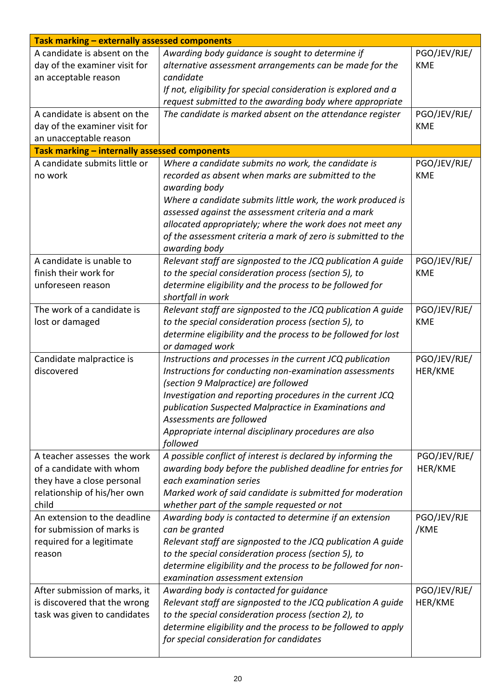| Task marking - externally assessed components |                                                                                                                      |                         |  |
|-----------------------------------------------|----------------------------------------------------------------------------------------------------------------------|-------------------------|--|
| A candidate is absent on the                  | Awarding body guidance is sought to determine if                                                                     | PGO/JEV/RJE/            |  |
| day of the examiner visit for                 | alternative assessment arrangements can be made for the                                                              | <b>KME</b>              |  |
| an acceptable reason                          | candidate                                                                                                            |                         |  |
|                                               | If not, eligibility for special consideration is explored and a                                                      |                         |  |
|                                               | request submitted to the awarding body where appropriate                                                             |                         |  |
| A candidate is absent on the                  | The candidate is marked absent on the attendance register                                                            | PGO/JEV/RJE/            |  |
| day of the examiner visit for                 |                                                                                                                      | <b>KME</b>              |  |
| an unacceptable reason                        |                                                                                                                      |                         |  |
| Task marking - internally assessed components |                                                                                                                      |                         |  |
| A candidate submits little or                 | Where a candidate submits no work, the candidate is                                                                  | PGO/JEV/RJE/            |  |
| no work                                       | recorded as absent when marks are submitted to the                                                                   | <b>KME</b>              |  |
|                                               | awarding body                                                                                                        |                         |  |
|                                               | Where a candidate submits little work, the work produced is                                                          |                         |  |
|                                               | assessed against the assessment criteria and a mark                                                                  |                         |  |
|                                               | allocated appropriately; where the work does not meet any                                                            |                         |  |
|                                               | of the assessment criteria a mark of zero is submitted to the                                                        |                         |  |
|                                               | awarding body                                                                                                        |                         |  |
| A candidate is unable to                      | Relevant staff are signposted to the JCQ publication A guide                                                         | PGO/JEV/RJE/            |  |
| finish their work for                         | to the special consideration process (section 5), to                                                                 | <b>KME</b>              |  |
| unforeseen reason                             | determine eligibility and the process to be followed for                                                             |                         |  |
|                                               | shortfall in work                                                                                                    |                         |  |
| The work of a candidate is                    | Relevant staff are signposted to the JCQ publication A guide                                                         | PGO/JEV/RJE/            |  |
| lost or damaged                               | to the special consideration process (section 5), to                                                                 | <b>KME</b>              |  |
|                                               | determine eligibility and the process to be followed for lost                                                        |                         |  |
| Candidate malpractice is                      | or damaged work                                                                                                      |                         |  |
| discovered                                    | Instructions and processes in the current JCQ publication<br>Instructions for conducting non-examination assessments | PGO/JEV/RJE/<br>HER/KME |  |
|                                               | (section 9 Malpractice) are followed                                                                                 |                         |  |
|                                               | Investigation and reporting procedures in the current JCQ                                                            |                         |  |
|                                               | publication Suspected Malpractice in Examinations and                                                                |                         |  |
|                                               | Assessments are followed                                                                                             |                         |  |
|                                               | Appropriate internal disciplinary procedures are also                                                                |                         |  |
|                                               | followed                                                                                                             |                         |  |
| A teacher assesses the work                   | A possible conflict of interest is declared by informing the                                                         | PGO/JEV/RJE/            |  |
| of a candidate with whom                      | awarding body before the published deadline for entries for                                                          | HER/KME                 |  |
| they have a close personal                    | each examination series                                                                                              |                         |  |
| relationship of his/her own                   | Marked work of said candidate is submitted for moderation                                                            |                         |  |
| child                                         | whether part of the sample requested or not                                                                          |                         |  |
| An extension to the deadline                  | Awarding body is contacted to determine if an extension                                                              | PGO/JEV/RJE             |  |
| for submission of marks is                    | can be granted                                                                                                       | /KME                    |  |
| required for a legitimate                     | Relevant staff are signposted to the JCQ publication A guide                                                         |                         |  |
| reason                                        | to the special consideration process (section 5), to                                                                 |                         |  |
|                                               | determine eligibility and the process to be followed for non-                                                        |                         |  |
|                                               | examination assessment extension                                                                                     |                         |  |
| After submission of marks, it                 | Awarding body is contacted for guidance                                                                              | PGO/JEV/RJE/            |  |
| is discovered that the wrong                  | Relevant staff are signposted to the JCQ publication A guide                                                         | HER/KME                 |  |
| task was given to candidates                  | to the special consideration process (section 2), to                                                                 |                         |  |
|                                               | determine eligibility and the process to be followed to apply                                                        |                         |  |
|                                               | for special consideration for candidates                                                                             |                         |  |
|                                               |                                                                                                                      |                         |  |